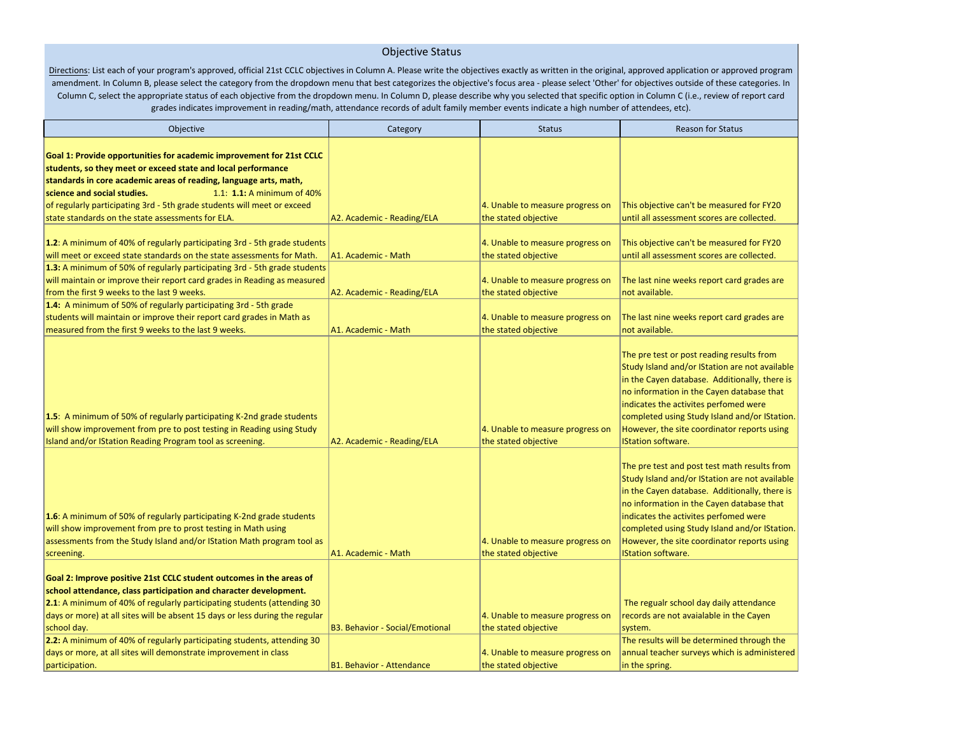## Objective Status

Directions: List each of your program's approved, official 21st CCLC objectives in Column A. Please write the objectives exactly as written in the original, approved application or approved program amendment. In Column B, please select the category from the dropdown menu that best categorizes the objective's focus area - please select 'Other' for objectives outside of these categories. In Column C, select the appropriate status of each objective from the dropdown menu. In Column D, please describe why you selected that specific option in Column C (i.e., review of report card grades indicates improvement in reading/math, attendance records of adult family member events indicate a high number of attendees, etc).

| Objective                                                                                                                                                                                                                                                                                                                                                                                              | Category                               | <b>Status</b>                                            | <b>Reason for Status</b>                                                                                                                                                                                                                                                                                                                                           |
|--------------------------------------------------------------------------------------------------------------------------------------------------------------------------------------------------------------------------------------------------------------------------------------------------------------------------------------------------------------------------------------------------------|----------------------------------------|----------------------------------------------------------|--------------------------------------------------------------------------------------------------------------------------------------------------------------------------------------------------------------------------------------------------------------------------------------------------------------------------------------------------------------------|
| Goal 1: Provide opportunities for academic improvement for 21st CCLC<br>students, so they meet or exceed state and local performance<br>standards in core academic areas of reading, language arts, math,<br>science and social studies.<br>1.1: 1.1: A minimum of 40%<br>of regularly participating 3rd - 5th grade students will meet or exceed<br>state standards on the state assessments for ELA. | A2. Academic - Reading/ELA             | 4. Unable to measure progress on<br>the stated objective | This objective can't be measured for FY20<br>until all assessment scores are collected.                                                                                                                                                                                                                                                                            |
| 1.2: A minimum of 40% of regularly participating 3rd - 5th grade students<br>will meet or exceed state standards on the state assessments for Math.<br>1.3: A minimum of 50% of regularly participating 3rd - 5th grade students                                                                                                                                                                       | A1. Academic - Math                    | 4. Unable to measure progress on<br>the stated objective | This objective can't be measured for FY20<br>until all assessment scores are collected.                                                                                                                                                                                                                                                                            |
| will maintain or improve their report card grades in Reading as measured<br>from the first 9 weeks to the last 9 weeks.                                                                                                                                                                                                                                                                                | A2. Academic - Reading/ELA             | 4. Unable to measure progress on<br>the stated objective | The last nine weeks report card grades are<br>not available.                                                                                                                                                                                                                                                                                                       |
| 1.4: A minimum of 50% of regularly participating 3rd - 5th grade<br>students will maintain or improve their report card grades in Math as<br>measured from the first 9 weeks to the last 9 weeks.                                                                                                                                                                                                      | A1. Academic - Math                    | 4. Unable to measure progress on<br>the stated objective | The last nine weeks report card grades are<br>not available.                                                                                                                                                                                                                                                                                                       |
| 1.5: A minimum of 50% of regularly participating K-2nd grade students<br>will show improvement from pre to post testing in Reading using Study<br>Island and/or IStation Reading Program tool as screening.                                                                                                                                                                                            | A2. Academic - Reading/ELA             | 4. Unable to measure progress on<br>the stated objective | The pre test or post reading results from<br>Study Island and/or IStation are not available<br>in the Cayen database. Additionally, there is<br>no information in the Cayen database that<br>indicates the activites perfomed were<br>completed using Study Island and/or IStation.<br>However, the site coordinator reports using<br><b>IStation software.</b>    |
| 1.6: A minimum of 50% of regularly participating K-2nd grade students<br>will show improvement from pre to prost testing in Math using<br>assessments from the Study Island and/or IStation Math program tool as<br>screening.                                                                                                                                                                         | A1. Academic - Math                    | 4. Unable to measure progress on<br>the stated objective | The pre test and post test math results from<br>Study Island and/or IStation are not available<br>in the Cayen database. Additionally, there is<br>no information in the Cayen database that<br>indicates the activites perfomed were<br>completed using Study Island and/or IStation.<br>However, the site coordinator reports using<br><b>IStation software.</b> |
| Goal 2: Improve positive 21st CCLC student outcomes in the areas of<br>school attendance, class participation and character development.<br>2.1: A minimum of 40% of regularly participating students (attending 30<br>days or more) at all sites will be absent 15 days or less during the regular<br>school day.                                                                                     | <b>B3. Behavior - Social/Emotional</b> | 4. Unable to measure progress on<br>the stated objective | The regualr school day daily attendance<br>records are not avaialable in the Cayen<br>system.                                                                                                                                                                                                                                                                      |
| 2.2: A minimum of 40% of regularly participating students, attending 30<br>days or more, at all sites will demonstrate improvement in class<br>participation.                                                                                                                                                                                                                                          | <b>B1. Behavior - Attendance</b>       | 4. Unable to measure progress on<br>the stated objective | The results will be determined through the<br>annual teacher surveys which is administered<br>in the spring.                                                                                                                                                                                                                                                       |